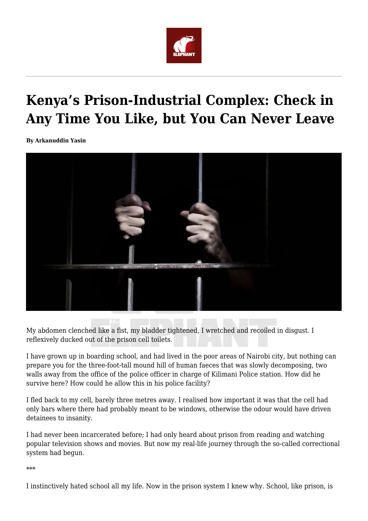

## **Kenya's Prison-Industrial Complex: Check in Any Time You Like, but You Can Never Leave**

**By Arkanuddin Yasin**



My abdomen clenched like a fist, my bladder tightened, I wretched and recoiled in disgust. I reflexively ducked out of the prison cell toilets.

I have grown up in boarding school, and had lived in the poor areas of Nairobi city, but nothing can prepare you for the three-foot-tall mound hill of human faeces that was slowly decomposing, two walls away from the office of the police officer in charge of Kilimani Police station. How did he survive here? How could he allow this in his police facility?

I fled back to my cell, barely three metres away. I realised how important it was that the cell had only bars where there had probably meant to be windows, otherwise the odour would have driven detainees to insanity.

I had never been incarcerated before; I had only heard about prison from reading and watching popular television shows and movies. But now my real-life journey through the so-called correctional system had begun.

\*\*\*

I instinctively hated school all my life. Now in the prison system I knew why. School, like prison, is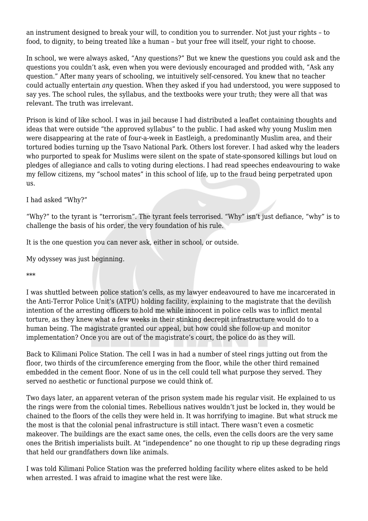an instrument designed to break your will, to condition you to surrender. Not just your rights – to food, to dignity, to being treated like a human – but your free will itself, your right to choose.

In school, we were always asked, "Any questions?" But we knew the questions you could ask and the questions you couldn't ask, even when you were deviously encouraged and prodded with, "Ask any question." After many years of schooling, we intuitively self-censored. You knew that no teacher could actually entertain *any* question. When they asked if you had understood, you were supposed to say yes. The school rules, the syllabus, and the textbooks were your truth; they were all that was relevant. The truth was irrelevant.

Prison is kind of like school. I was in jail because I had distributed a leaflet containing thoughts and ideas that were outside "the approved syllabus" to the public. I had asked why young Muslim men were disappearing at the rate of four-a-week in Eastleigh, a predominantly Muslim area, and their tortured bodies turning up the Tsavo National Park. Others lost forever. I had asked why the leaders who purported to speak for Muslims were silent on the spate of state-sponsored killings but loud on pledges of allegiance and calls to voting during elections. I had read speeches endeavouring to wake my fellow citizens, my "school mates" in this school of life, up to the fraud being perpetrated upon us.

I had asked "Why?"

"Why?" to the tyrant is "terrorism". The tyrant feels terrorised. "Why" isn't just defiance, "why" is to challenge the basis of his order, the very foundation of his rule.

It is the one question you can never ask, either in school, or outside.

My odyssey was just beginning.

\*\*\*

I was shuttled between police station's cells, as my lawyer endeavoured to have me incarcerated in the Anti-Terror Police Unit's (ATPU) holding facility, explaining to the magistrate that the devilish intention of the arresting officers to hold me while innocent in police cells was to inflict mental torture, as they knew what a few weeks in their stinking decrepit infrastructure would do to a human being. The magistrate granted our appeal, but how could she follow-up and monitor implementation? Once you are out of the magistrate's court, the police do as they will.

Back to Kilimani Police Station. The cell I was in had a number of steel rings jutting out from the floor, two thirds of the circumference emerging from the floor, while the other third remained embedded in the cement floor. None of us in the cell could tell what purpose they served. They served no aesthetic or functional purpose we could think of.

Two days later, an apparent veteran of the prison system made his regular visit. He explained to us the rings were from the colonial times. Rebellious natives wouldn't just be locked in, they would be chained to the floors of the cells they were held in. It was horrifying to imagine. But what struck me the most is that the colonial penal infrastructure is still intact. There wasn't even a cosmetic makeover. The buildings are the exact same ones, the cells, even the cells doors are the very same ones the British imperialists built. At "independence" no one thought to rip up these degrading rings that held our grandfathers down like animals.

I was told Kilimani Police Station was the preferred holding facility where elites asked to be held when arrested. I was afraid to imagine what the rest were like.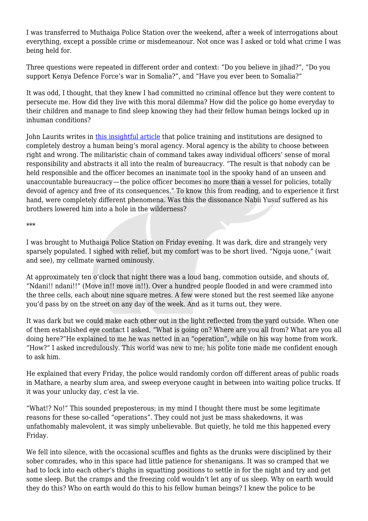I was transferred to Muthaiga Police Station over the weekend, after a week of interrogations about everything, except a possible crime or misdemeanour. Not once was I asked or told what crime I was being held for.

Three questions were repeated in different order and context: "Do you believe in jihad?", "Do you support Kenya Defence Force's war in Somalia?", and "Have you ever been to Somalia?"

It was odd, I thought, that they knew I had committed no criminal offence but they were content to persecute me. How did they live with this moral dilemma? How did the police go home everyday to their children and manage to find sleep knowing they had their fellow human beings locked up in inhuman conditions?

John Laurits writes in [this insightful article](https://extranewsfeed.com/all-cops-are-bad-how-modern-police-institutions-negate-moral-responsibility-700629756fa4) that police training and institutions are designed to completely destroy a human being's moral agency. Moral agency is the ability to choose between right and wrong. The militaristic chain of command takes away individual officers' sense of moral responsibility and abstracts it all into the realm of bureaucracy. "The result is that nobody can be held responsible and the officer becomes an inanimate tool in the spooky hand of an unseen and unaccountable bureaucracy — the police officer becomes no more than a vessel for policies, totally devoid of agency and free of its consequences." To know this from reading, and to experience it first hand, were completely different phenomena. Was this the dissonance Nabii Yusuf suffered as his brothers lowered him into a hole in the wilderness?

\*\*\*

I was brought to Muthaiga Police Station on Friday evening. It was dark, dire and strangely very sparsely populated. I sighed with relief, but my comfort was to be short lived. "Ngoja uone," (wait and see), my cellmate warned ominously.

At approximately ten o'clock that night there was a loud bang, commotion outside, and shouts of, "Ndani!! ndani!!" (Move in!! move in!!). Over a hundred people flooded in and were crammed into the three cells, each about nine square metres. A few were stoned but the rest seemed like anyone you'd pass by on the street on any day of the week. And as it turns out, they were.

It was dark but we could make each other out in the light reflected from the yard outside. When one of them established eye contact I asked, "What is going on? Where are you all from? What are you all doing here?"He explained to me he was netted in an "operation", while on his way home from work. "How?" I asked incredulously. This world was new to me; his polite tone made me confident enough to ask him.

He explained that every Friday, the police would randomly cordon off different areas of public roads in Mathare, a nearby slum area, and sweep everyone caught in between into waiting police trucks. If it was your unlucky day, c'est la vie.

"What!? No!" This sounded preposterous; in my mind I thought there must be some legitimate reasons for these so-called "operations". They could not just be mass shakedowns, it was unfathomably malevolent, it was simply unbelievable. But quietly, he told me this happened every Friday.

We fell into silence, with the occasional scuffles and fights as the drunks were disciplined by their sober comrades, who in this space had little patience for shenanigans. It was so cramped that we had to lock into each other's thighs in squatting positions to settle in for the night and try and get some sleep. But the cramps and the freezing cold wouldn't let any of us sleep. Why on earth would they do this? Who on earth would do this to his fellow human beings? I knew the police to be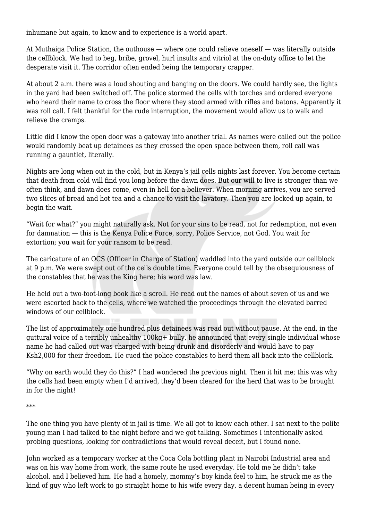inhumane but again, to know and to experience is a world apart.

At Muthaiga Police Station, the outhouse — where one could relieve oneself — was literally outside the cellblock. We had to beg, bribe, grovel, hurl insults and vitriol at the on-duty office to let the desperate visit it. The corridor often ended being the temporary crapper.

At about 2 a.m. there was a loud shouting and banging on the doors. We could hardly see, the lights in the yard had been switched off. The police stormed the cells with torches and ordered everyone who heard their name to cross the floor where they stood armed with rifles and batons. Apparently it was roll call. I felt thankful for the rude interruption, the movement would allow us to walk and relieve the cramps.

Little did I know the open door was a gateway into another trial. As names were called out the police would randomly beat up detainees as they crossed the open space between them, roll call was running a gauntlet, literally.

Nights are long when out in the cold, but in Kenya's jail cells nights last forever. You become certain that death from cold will find you long before the dawn does. But our will to live is stronger than we often think, and dawn does come, even in hell for a believer. When morning arrives, you are served two slices of bread and hot tea and a chance to visit the lavatory. Then you are locked up again, to begin the wait.

"Wait for what?" you might naturally ask. Not for your sins to be read, not for redemption, not even for damnation — this is the Kenya Police Force, sorry, Police Service, not God. You wait for extortion; you wait for your ransom to be read.

The caricature of an OCS (Officer in Charge of Station) waddled into the yard outside our cellblock at 9 p.m. We were swept out of the cells double time. Everyone could tell by the obsequiousness of the constables that he was the King here; his word was law.

He held out a two-foot-long book like a scroll. He read out the names of about seven of us and we were escorted back to the cells, where we watched the proceedings through the elevated barred windows of our cellblock.

The list of approximately one hundred plus detainees was read out without pause. At the end, in the guttural voice of a terribly unhealthy 100kg+ bully, he announced that every single individual whose name he had called out was charged with being drunk and disorderly and would have to pay Ksh2,000 for their freedom. He cued the police constables to herd them all back into the cellblock.

"Why on earth would they do this?" I had wondered the previous night. Then it hit me; this was why the cells had been empty when I'd arrived, they'd been cleared for the herd that was to be brought in for the night!

\*\*\*

The one thing you have plenty of in jail is time. We all got to know each other. I sat next to the polite young man I had talked to the night before and we got talking. Sometimes I intentionally asked probing questions, looking for contradictions that would reveal deceit, but I found none.

John worked as a temporary worker at the Coca Cola bottling plant in Nairobi Industrial area and was on his way home from work, the same route he used everyday. He told me he didn't take alcohol, and I believed him. He had a homely, mommy's boy kinda feel to him, he struck me as the kind of guy who left work to go straight home to his wife every day, a decent human being in every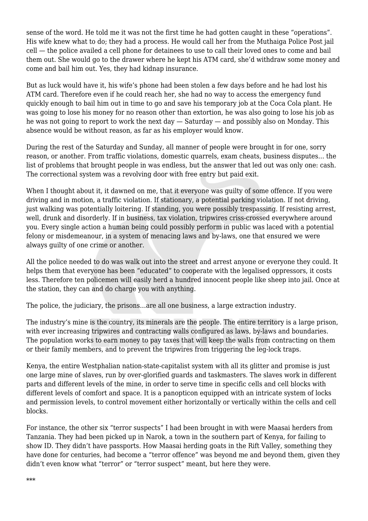sense of the word. He told me it was not the first time he had gotten caught in these "operations". His wife knew what to do; they had a process. He would call her from the Muthaiga Police Post jail cell — the police availed a cell phone for detainees to use to call their loved ones to come and bail them out. She would go to the drawer where he kept his ATM card, she'd withdraw some money and come and bail him out. Yes, they had kidnap insurance.

But as luck would have it, his wife's phone had been stolen a few days before and he had lost his ATM card. Therefore even if he could reach her, she had no way to access the emergency fund quickly enough to bail him out in time to go and save his temporary job at the Coca Cola plant. He was going to lose his money for no reason other than extortion, he was also going to lose his job as he was not going to report to work the next day — Saturday — and possibly also on Monday. This absence would be without reason, as far as his employer would know.

During the rest of the Saturday and Sunday, all manner of people were brought in for one, sorry reason, or another. From traffic violations, domestic quarrels, exam cheats, business disputes… the list of problems that brought people in was endless, but the answer that led out was only one: cash. The correctional system was a revolving door with free entry but paid exit.

When I thought about it, it dawned on me, that it everyone was quilty of some offence. If you were driving and in motion, a traffic violation. If stationary, a potential parking violation. If not driving, just walking was potentially loitering. If standing, you were possibly trespassing. If resisting arrest, well, drunk and disorderly. If in business, tax violation, tripwires criss-crossed everywhere around you. Every single action a human being could possibly perform in public was laced with a potential felony or misdemeanour, in a system of menacing laws and by-laws, one that ensured we were always guilty of one crime or another.

All the police needed to do was walk out into the street and arrest anyone or everyone they could. It helps them that everyone has been "educated" to cooperate with the legalised oppressors, it costs less. Therefore ten policemen will easily herd a hundred innocent people like sheep into jail. Once at the station, they can and do charge you with anything.

The police, the judiciary, the prisons…are all one business, a large extraction industry.

The industry's mine is the country, its minerals are the people. The entire territory is a large prison, with ever increasing tripwires and contracting walls configured as laws, by-laws and boundaries. The population works to earn money to pay taxes that will keep the walls from contracting on them or their family members, and to prevent the tripwires from triggering the leg-lock traps.

Kenya, the entire Westphalian nation-state-capitalist system with all its glitter and promise is just one large mine of slaves, run by over-glorified guards and taskmasters. The slaves work in different parts and different levels of the mine, in order to serve time in specific cells and cell blocks with different levels of comfort and space. It is a panopticon equipped with an intricate system of locks and permission levels, to control movement either horizontally or vertically within the cells and cell blocks.

For instance, the other six "terror suspects" I had been brought in with were Maasai herders from Tanzania. They had been picked up in Narok, a town in the southern part of Kenya, for failing to show ID. They didn't have passports. How Maasai herding goats in the Rift Valley, something they have done for centuries, had become a "terror offence" was beyond me and beyond them, given they didn't even know what "terror" or "terror suspect" meant, but here they were.